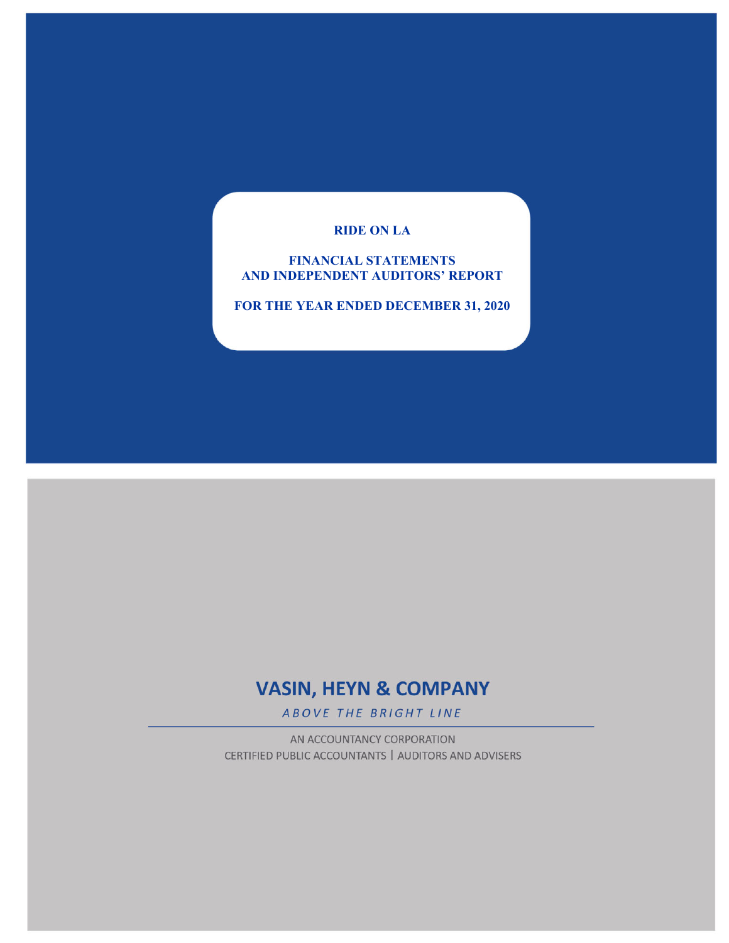## **RIDE ON LA**

## **FINANCIAL STATEMENTS AND INDEPENDENT AUDITORS' REPORT**

**FOR THE YEAR ENDED DECEMBER 31, 2020** 

## **VASIN, HEYN & COMPANY**

ABOVE THE BRIGHT LINE

AN ACCOUNTANCY CORPORATION CERTIFIED PUBLIC ACCOUNTANTS | AUDITORS AND ADVISERS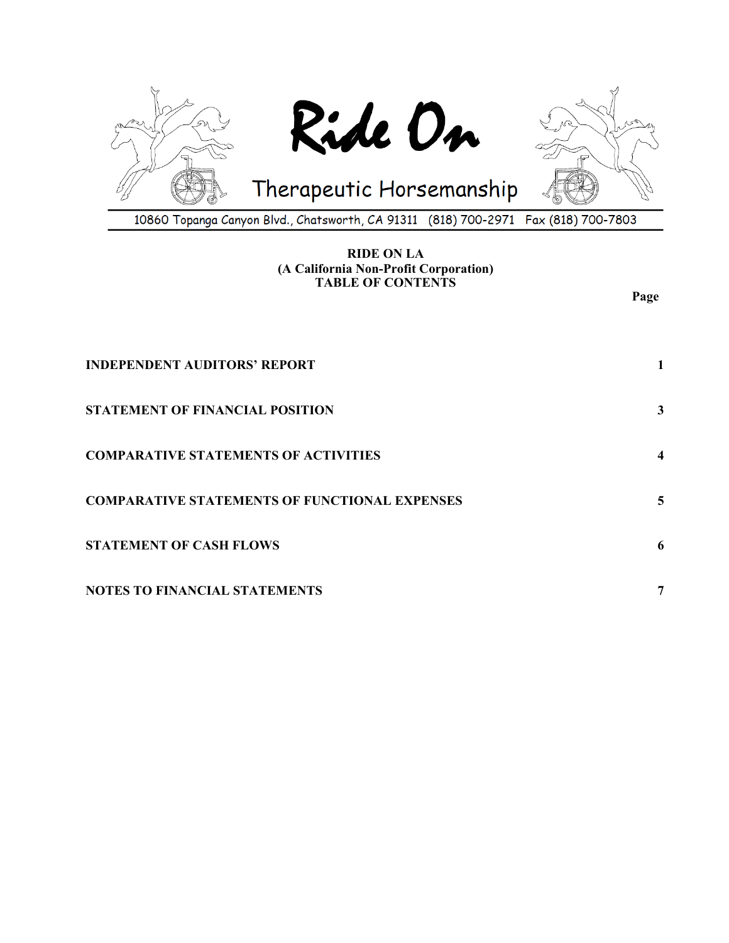

## **RIDE ON LA (A California Non-Profit Corporation) TABLE OF CONTENTS**

| <b>INDEPENDENT AUDITORS' REPORT</b>                  |                  |
|------------------------------------------------------|------------------|
| <b>STATEMENT OF FINANCIAL POSITION</b>               | 3                |
| <b>COMPARATIVE STATEMENTS OF ACTIVITIES</b>          | $\boldsymbol{4}$ |
| <b>COMPARATIVE STATEMENTS OF FUNCTIONAL EXPENSES</b> | 5                |
| <b>STATEMENT OF CASH FLOWS</b>                       | 6                |
| <b>NOTES TO FINANCIAL STATEMENTS</b>                 | $\overline{7}$   |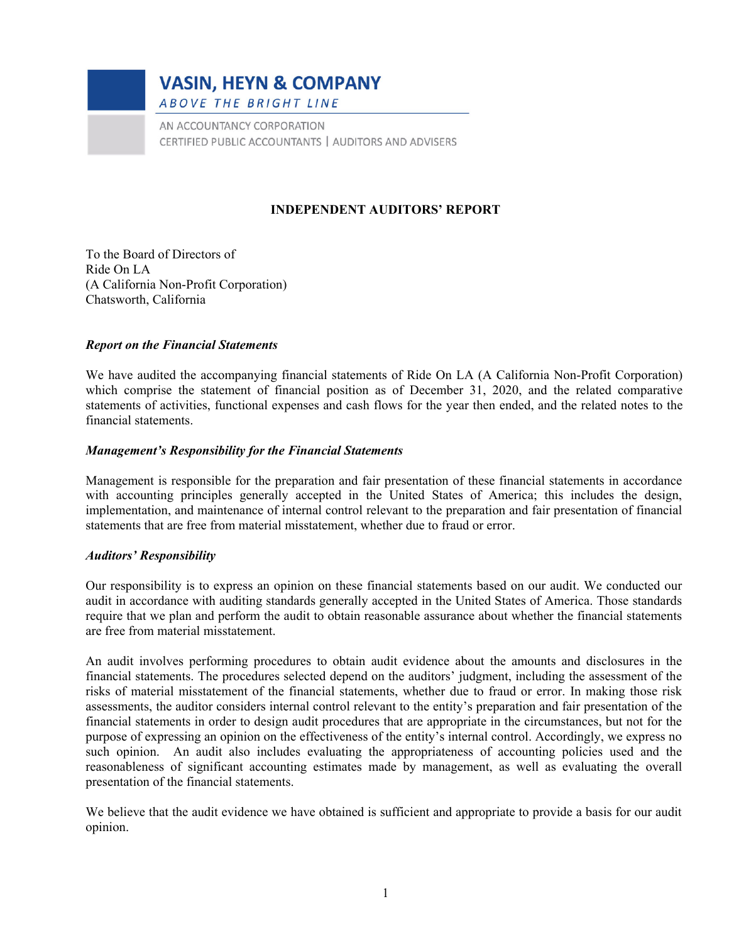## **VASIN, HEYN & COMPANY**

**ABOVE THE BRIGHT LINE** 

AN ACCOUNTANCY CORPORATION CERTIFIED PUBLIC ACCOUNTANTS | AUDITORS AND ADVISERS

## **INDEPENDENT AUDITORS' REPORT**

To the Board of Directors of Ride On LA (A California Non-Profit Corporation) Chatsworth, California

## *Report on the Financial Statements*

We have audited the accompanying financial statements of Ride On LA (A California Non-Profit Corporation) which comprise the statement of financial position as of December 31, 2020, and the related comparative statements of activities, functional expenses and cash flows for the year then ended, and the related notes to the financial statements.

#### *Management's Responsibility for the Financial Statements*

Management is responsible for the preparation and fair presentation of these financial statements in accordance with accounting principles generally accepted in the United States of America; this includes the design, implementation, and maintenance of internal control relevant to the preparation and fair presentation of financial statements that are free from material misstatement, whether due to fraud or error.

## *Auditors' Responsibility*

Our responsibility is to express an opinion on these financial statements based on our audit. We conducted our audit in accordance with auditing standards generally accepted in the United States of America. Those standards require that we plan and perform the audit to obtain reasonable assurance about whether the financial statements are free from material misstatement.

An audit involves performing procedures to obtain audit evidence about the amounts and disclosures in the financial statements. The procedures selected depend on the auditors' judgment, including the assessment of the risks of material misstatement of the financial statements, whether due to fraud or error. In making those risk assessments, the auditor considers internal control relevant to the entity's preparation and fair presentation of the financial statements in order to design audit procedures that are appropriate in the circumstances, but not for the purpose of expressing an opinion on the effectiveness of the entity's internal control. Accordingly, we express no such opinion. An audit also includes evaluating the appropriateness of accounting policies used and the reasonableness of significant accounting estimates made by management, as well as evaluating the overall presentation of the financial statements.

We believe that the audit evidence we have obtained is sufficient and appropriate to provide a basis for our audit opinion.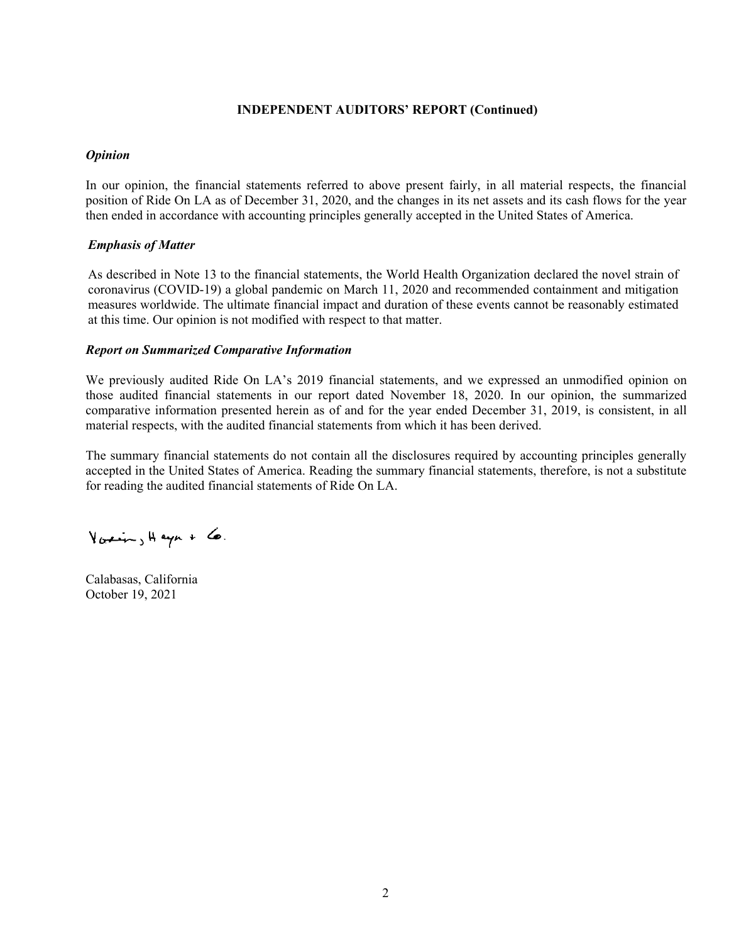## **INDEPENDENT AUDITORS' REPORT (Continued)**

#### *Opinion*

In our opinion, the financial statements referred to above present fairly, in all material respects, the financial position of Ride On LA as of December 31, 2020, and the changes in its net assets and its cash flows for the year then ended in accordance with accounting principles generally accepted in the United States of America.

## *Emphasis of Matter*

As described in Note 13 to the financial statements, the World Health Organization declared the novel strain of coronavirus (COVID-19) a global pandemic on March 11, 2020 and recommended containment and mitigation measures worldwide. The ultimate financial impact and duration of these events cannot be reasonably estimated at this time. Our opinion is not modified with respect to that matter.

## *Report on Summarized Comparative Information*

We previously audited Ride On LA's 2019 financial statements, and we expressed an unmodified opinion on those audited financial statements in our report dated November 18, 2020. In our opinion, the summarized comparative information presented herein as of and for the year ended December 31, 2019, is consistent, in all material respects, with the audited financial statements from which it has been derived.

The summary financial statements do not contain all the disclosures required by accounting principles generally accepted in the United States of America. Reading the summary financial statements, therefore, is not a substitute for reading the audited financial statements of Ride On LA.

 $\gamma_{\alpha\neq\cdots},\mu_{\alpha\neq\mu}+\zeta_{\alpha}$ 

Calabasas, California October 19, 2021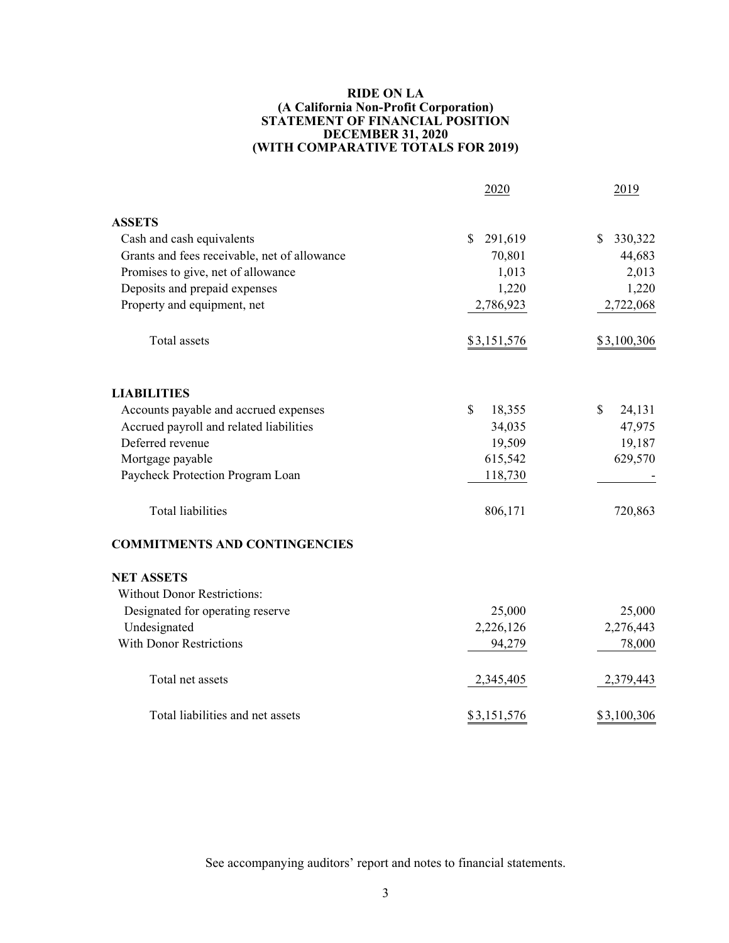#### **RIDE ON LA (A California Non-Profit Corporation) STATEMENT OF FINANCIAL POSITION DECEMBER 31, 2020 (WITH COMPARATIVE TOTALS FOR 2019)**

|                                              | 2020                    | 2019          |
|----------------------------------------------|-------------------------|---------------|
| <b>ASSETS</b>                                |                         |               |
| Cash and cash equivalents                    | 291,619<br>$\mathbb{S}$ | \$<br>330,322 |
| Grants and fees receivable, net of allowance | 70,801                  | 44,683        |
| Promises to give, net of allowance           | 1,013                   | 2,013         |
| Deposits and prepaid expenses                | 1,220                   | 1,220         |
| Property and equipment, net                  | 2,786,923               | 2,722,068     |
| Total assets                                 | \$3,151,576             | \$3,100,306   |
| <b>LIABILITIES</b>                           |                         |               |
| Accounts payable and accrued expenses        | \$<br>18,355            | \$<br>24,131  |
| Accrued payroll and related liabilities      | 34,035                  | 47,975        |
| Deferred revenue                             | 19,509                  | 19,187        |
| Mortgage payable                             | 615,542                 | 629,570       |
| Paycheck Protection Program Loan             | 118,730                 |               |
| <b>Total liabilities</b>                     | 806,171                 | 720,863       |
| <b>COMMITMENTS AND CONTINGENCIES</b>         |                         |               |
| <b>NET ASSETS</b>                            |                         |               |
| <b>Without Donor Restrictions:</b>           |                         |               |
| Designated for operating reserve             | 25,000                  | 25,000        |
| Undesignated                                 | 2,226,126               | 2,276,443     |
| <b>With Donor Restrictions</b>               | 94,279                  | 78,000        |
| Total net assets                             | 2,345,405               | 2,379,443     |
| Total liabilities and net assets             | \$3,151,576             | \$3,100,306   |

See accompanying auditors' report and notes to financial statements.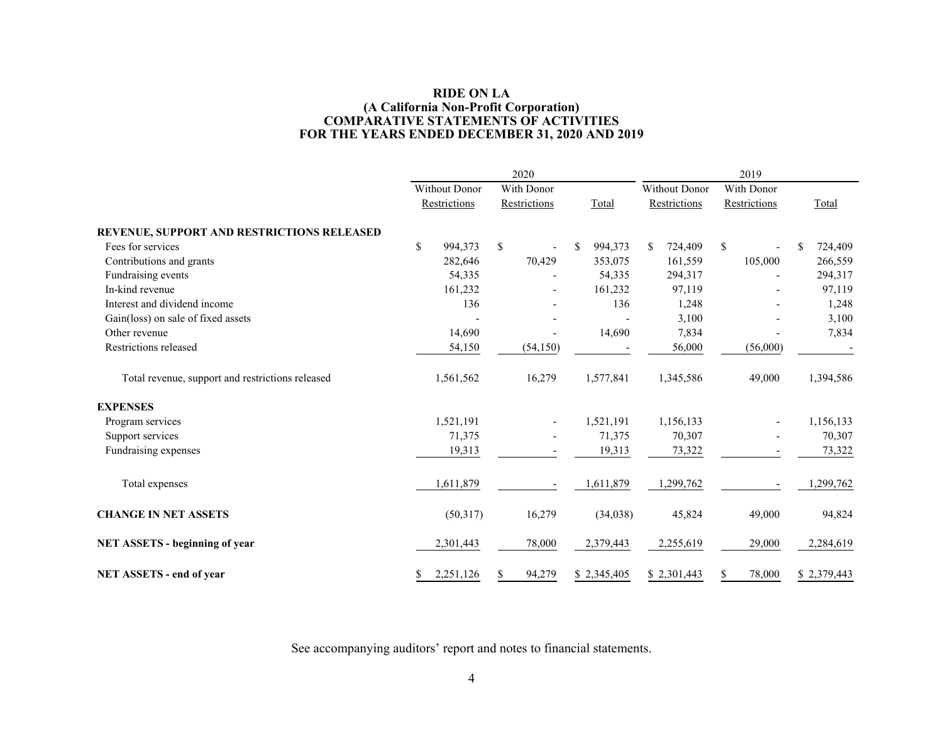#### **RIDE ON LA (A California Non-Profit Corporation) COMPARATIVE STATEMENTS OF ACTIVITIES FOR THE YEARS ENDED DECEMBER 31, 2020 AND 2019**

|                                                  | 2020                 |              |            |                |               |   | 2019                 |               |              |               |
|--------------------------------------------------|----------------------|--------------|------------|----------------|---------------|---|----------------------|---------------|--------------|---------------|
|                                                  | <b>Without Donor</b> |              | With Donor |                |               |   | <b>Without Donor</b> |               | With Donor   |               |
|                                                  |                      | Restrictions |            | Restrictions   | Total         |   | Restrictions         |               | Restrictions | Total         |
| REVENUE, SUPPORT AND RESTRICTIONS RELEASED       |                      |              |            |                |               |   |                      |               |              |               |
| Fees for services                                | \$                   | 994,373      | S.         | $\blacksquare$ | \$<br>994,373 | S | 724,409              | <sup>\$</sup> |              | \$<br>724,409 |
| Contributions and grants                         |                      | 282,646      |            | 70,429         | 353,075       |   | 161,559              |               | 105,000      | 266,559       |
| Fundraising events                               |                      | 54,335       |            |                | 54,335        |   | 294,317              |               |              | 294,317       |
| In-kind revenue                                  |                      | 161,232      |            | $\blacksquare$ | 161,232       |   | 97,119               |               |              | 97,119        |
| Interest and dividend income                     |                      | 136          |            |                | 136           |   | 1,248                |               |              | 1,248         |
| Gain(loss) on sale of fixed assets               |                      |              |            |                |               |   | 3,100                |               |              | 3,100         |
| Other revenue                                    |                      | 14,690       |            |                | 14,690        |   | 7,834                |               |              | 7,834         |
| Restrictions released                            |                      | 54,150       |            | (54, 150)      |               |   | 56,000               |               | (56,000)     |               |
| Total revenue, support and restrictions released |                      | 1,561,562    |            | 16,279         | 1,577,841     |   | 1,345,586            |               | 49,000       | 1,394,586     |
| <b>EXPENSES</b>                                  |                      |              |            |                |               |   |                      |               |              |               |
| Program services                                 |                      | 1,521,191    |            |                | 1,521,191     |   | 1,156,133            |               |              | 1,156,133     |
| Support services                                 |                      | 71,375       |            |                | 71,375        |   | 70,307               |               |              | 70,307        |
| Fundraising expenses                             |                      | 19,313       |            |                | 19,313        |   | 73,322               |               |              | 73,322        |
| Total expenses                                   |                      | 1,611,879    |            |                | 1,611,879     |   | 1,299,762            |               |              | 1,299,762     |
| <b>CHANGE IN NET ASSETS</b>                      |                      | (50,317)     |            | 16,279         | (34,038)      |   | 45,824               |               | 49,000       | 94,824        |
| <b>NET ASSETS - beginning of year</b>            |                      | 2,301,443    |            | 78,000         | 2,379,443     |   | 2,255,619            |               | 29,000       | 2,284,619     |
| <b>NET ASSETS - end of year</b>                  | \$                   | 2,251,126    | S          | 94,279         | \$2,345,405   |   | \$2,301,443          | <sup>\$</sup> | 78,000       | \$2,379,443   |

See accompanying auditors' report and notes to financial statements.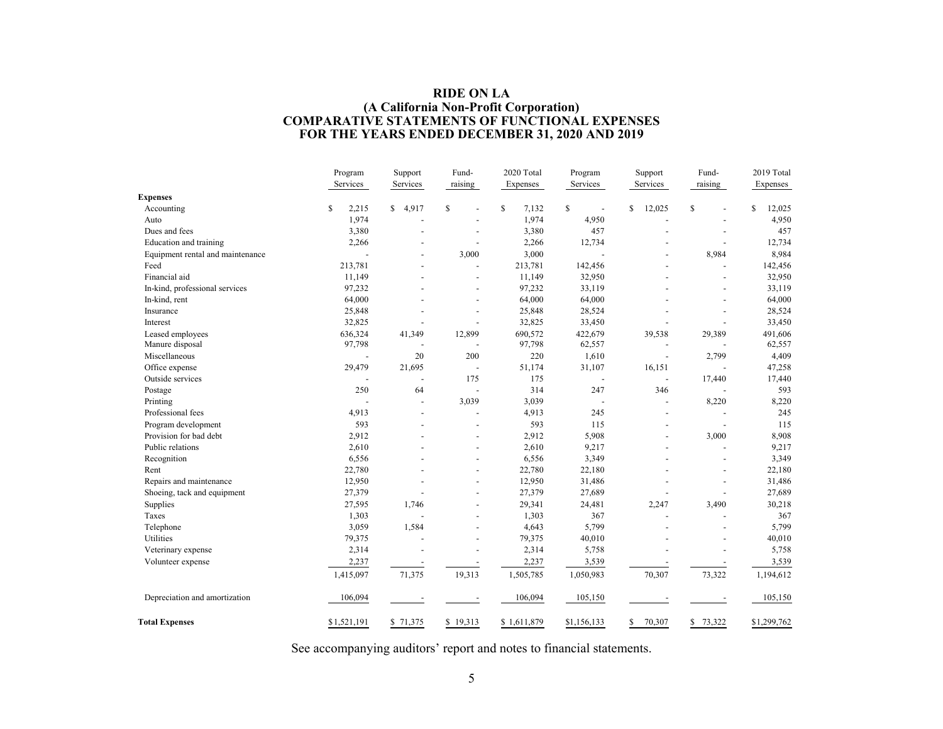# **RIDE ON LA (A California Non-Profit Corporation) COMPARATIVE STATEMENTS OF FUNCTIONAL EXPENSES FOR THE YEARS ENDED DECEMBER 31, 2020 AND 2019**

| Program     | Support                  | Fund-                    | 2020 Total  | Program                 | Support        | Fund-                    | 2019 Total  |
|-------------|--------------------------|--------------------------|-------------|-------------------------|----------------|--------------------------|-------------|
| Services    | Services                 |                          | Expenses    | Services                | Services       |                          | Expenses    |
|             |                          |                          |             |                         |                |                          |             |
| S<br>2,215  | $\mathbb{S}$<br>4,917    | \$<br>$\overline{a}$     | \$<br>7,132 | $\mathbb S$<br>÷,       | \$<br>12,025   | S.<br>$\blacksquare$     | s<br>12,025 |
|             |                          | $\overline{a}$           |             | 4,950                   |                |                          | 4,950       |
| 3,380       |                          | ÷                        | 3,380       | 457                     |                |                          | 457         |
| 2,266       |                          |                          | 2,266       | 12,734                  |                |                          | 12,734      |
|             |                          | 3,000                    | 3,000       |                         |                | 8,984                    | 8,984       |
| 213,781     |                          |                          | 213,781     | 142,456                 |                |                          | 142,456     |
| 11,149      |                          | $\overline{\phantom{a}}$ | 11,149      | 32,950                  |                | $\blacksquare$           | 32,950      |
| 97,232      |                          | $\overline{\phantom{a}}$ | 97,232      | 33,119                  |                | $\overline{\phantom{a}}$ | 33,119      |
| 64,000      |                          | ٠                        | 64,000      | 64,000                  |                |                          | 64,000      |
| 25,848      |                          | ÷                        | 25,848      | 28,524                  |                | $\overline{\phantom{a}}$ | 28,524      |
| 32,825      |                          | ÷,                       | 32,825      | 33,450                  |                | $\overline{a}$           | 33,450      |
| 636,324     | 41,349                   | 12,899                   | 690,572     | 422,679                 | 39,538         | 29,389                   | 491,606     |
| 97,798      | $\overline{\phantom{a}}$ |                          | 97,798      | 62,557                  |                |                          | 62,557      |
|             | 20                       | 200                      | 220         | 1,610                   |                | 2,799                    | 4,409       |
| 29,479      | 21,695                   |                          | 51,174      | 31,107                  | 16,151         |                          | 47,258      |
|             | $\overline{a}$           | 175                      | 175         | $\overline{a}$          |                | 17,440                   | 17,440      |
| 250         | 64                       | $\overline{a}$           | 314         | 247                     | 346            |                          | 593         |
|             |                          | 3,039                    | 3,039       |                         |                | 8,220                    | 8,220       |
| 4,913       | $\overline{\phantom{a}}$ | ٠                        | 4,913       | 245                     | ٠              |                          | 245         |
| 593         |                          | ٠                        | 593         | 115                     | ٠              | $\overline{a}$           | 115         |
| 2,912       |                          |                          | 2,912       | 5,908                   | $\overline{a}$ | 3,000                    | 8,908       |
| 2,610       |                          | ÷,                       | 2,610       | 9,217                   |                |                          | 9,217       |
| 6,556       |                          | $\overline{a}$           | 6,556       | 3,349                   |                |                          | 3,349       |
|             |                          | $\overline{a}$           | 22,780      | 22,180                  |                | $\overline{\phantom{a}}$ | 22,180      |
| 12,950      |                          | ÷,                       | 12,950      | 31,486                  |                | $\overline{a}$           | 31,486      |
| 27,379      |                          | $\overline{a}$           | 27,379      | 27,689                  |                | $\overline{a}$           | 27,689      |
| 27,595      | 1,746                    | $\overline{a}$           | 29,341      | 24,481                  | 2,247          | 3,490                    | 30,218      |
| 1,303       |                          |                          | 1,303       | 367                     |                |                          | 367         |
| 3,059       | 1,584                    | ÷,                       |             | 5,799                   |                |                          | 5,799       |
| 79,375      |                          | $\overline{\phantom{a}}$ | 79,375      | 40,010                  |                | $\blacksquare$           | 40,010      |
| 2,314       |                          | $\overline{a}$           | 2,314       | 5,758                   |                | $\overline{\phantom{a}}$ | 5,758       |
|             |                          |                          |             |                         |                |                          | 3,539       |
| 1,415,097   | 71,375                   | 19,313                   | 1,505,785   | 1,050,983               | 70,307         | 73,322                   | 1,194,612   |
| 106,094     |                          | $\overline{\phantom{a}}$ | 106,094     | 105,150                 |                |                          | 105,150     |
| \$1,521,191 | \$71,375                 | \$19,313                 | \$1,611,879 | \$1,156,133             | \$<br>70,307   | \$73,322                 | \$1,299,762 |
|             | 1,974<br>22,780<br>2,237 |                          | raising     | 1,974<br>4,643<br>2,237 | 3,539          |                          | raising     |

See accompanying auditors' report and notes to financial statements.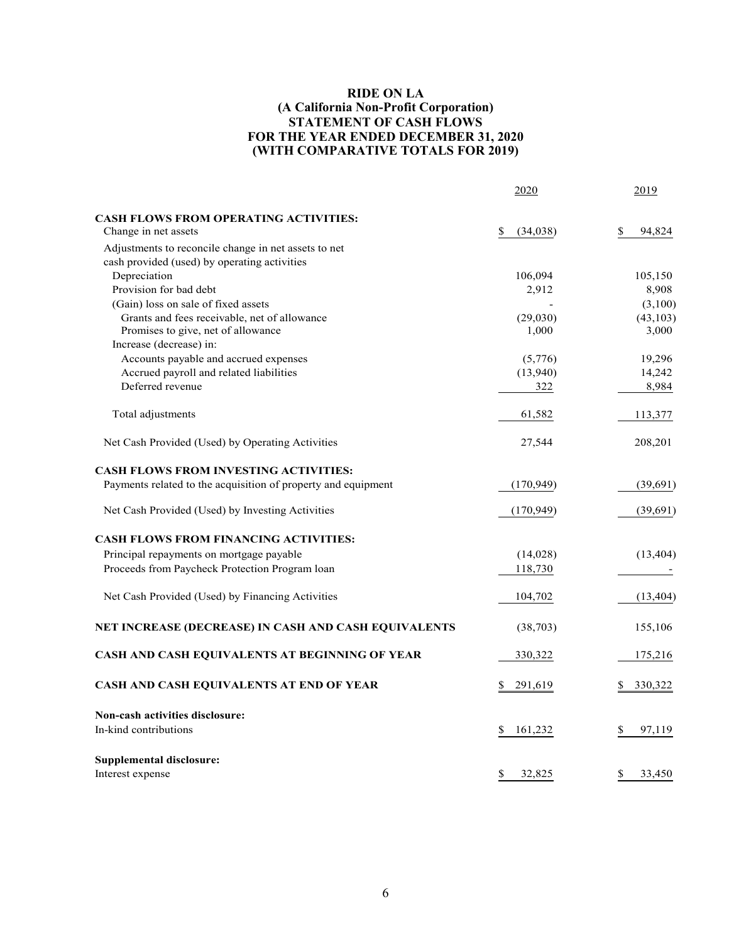#### **RIDE ON LA (A California Non-Profit Corporation) STATEMENT OF CASH FLOWS FOR THE YEAR ENDED DECEMBER 31, 2020 (WITH COMPARATIVE TOTALS FOR 2019)**

|                                                               | 2020           | 2019         |
|---------------------------------------------------------------|----------------|--------------|
| <b>CASH FLOWS FROM OPERATING ACTIVITIES:</b>                  |                |              |
| Change in net assets                                          | \$<br>(34,038) | \$<br>94.824 |
| Adjustments to reconcile change in net assets to net          |                |              |
| cash provided (used) by operating activities                  |                |              |
| Depreciation                                                  | 106,094        | 105,150      |
| Provision for bad debt                                        | 2,912          | 8,908        |
| (Gain) loss on sale of fixed assets                           |                | (3,100)      |
| Grants and fees receivable, net of allowance                  | (29,030)       | (43, 103)    |
| Promises to give, net of allowance                            | 1,000          | 3,000        |
| Increase (decrease) in:                                       |                |              |
| Accounts payable and accrued expenses                         | (5,776)        | 19,296       |
| Accrued payroll and related liabilities                       | (13,940)       | 14,242       |
| Deferred revenue                                              | 322            | 8,984        |
| Total adjustments                                             | 61,582         | 113,377      |
| Net Cash Provided (Used) by Operating Activities              | 27,544         | 208,201      |
| <b>CASH FLOWS FROM INVESTING ACTIVITIES:</b>                  |                |              |
| Payments related to the acquisition of property and equipment | (170, 949)     | (39,691)     |
| Net Cash Provided (Used) by Investing Activities              | (170, 949)     | (39,691)     |
| <b>CASH FLOWS FROM FINANCING ACTIVITIES:</b>                  |                |              |
| Principal repayments on mortgage payable                      | (14,028)       | (13, 404)    |
| Proceeds from Paycheck Protection Program loan                | 118,730        |              |
| Net Cash Provided (Used) by Financing Activities              | 104,702        | (13, 404)    |
| NET INCREASE (DECREASE) IN CASH AND CASH EQUIVALENTS          | (38,703)       | 155,106      |
| CASH AND CASH EQUIVALENTS AT BEGINNING OF YEAR                | 330,322        | 175,216      |
| CASH AND CASH EQUIVALENTS AT END OF YEAR                      | 291,619        | 330,322      |
| Non-cash activities disclosure:                               |                |              |
| In-kind contributions                                         | 161,232<br>\$  | 97,119<br>S  |
| Supplemental disclosure:                                      |                |              |
| Interest expense                                              | \$<br>32,825   | \$<br>33,450 |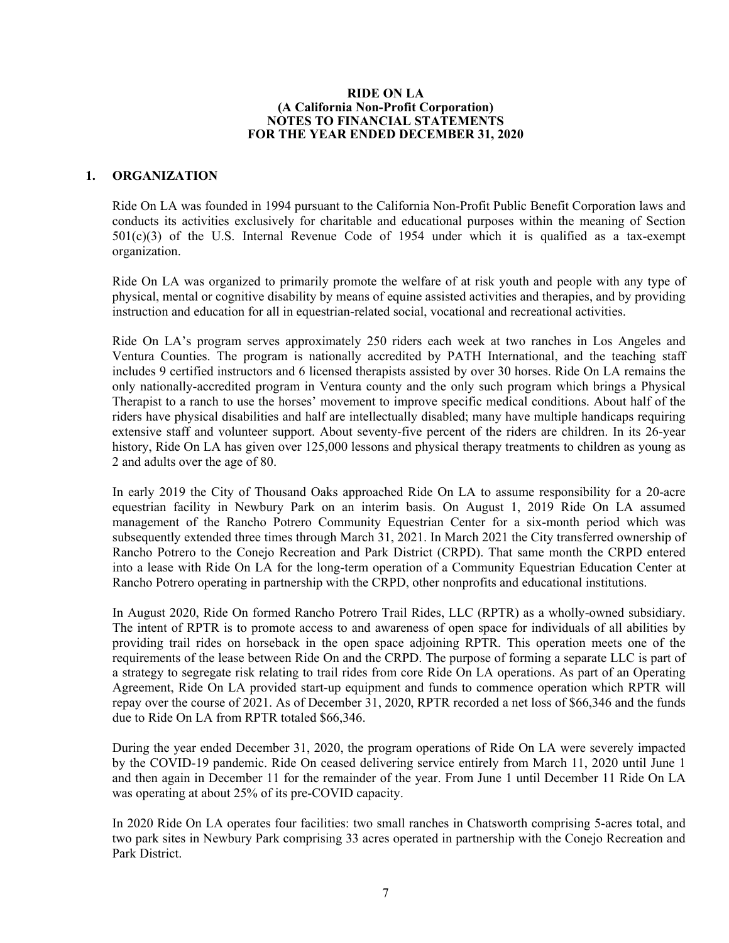## **1. ORGANIZATION**

Ride On LA was founded in 1994 pursuant to the California Non‐Profit Public Benefit Corporation laws and conducts its activities exclusively for charitable and educational purposes within the meaning of Section  $501(c)(3)$  of the U.S. Internal Revenue Code of 1954 under which it is qualified as a tax-exempt organization.

Ride On LA was organized to primarily promote the welfare of at risk youth and people with any type of physical, mental or cognitive disability by means of equine assisted activities and therapies, and by providing instruction and education for all in equestrian-related social, vocational and recreational activities.

Ride On LA's program serves approximately 250 riders each week at two ranches in Los Angeles and Ventura Counties. The program is nationally accredited by PATH International, and the teaching staff includes 9 certified instructors and 6 licensed therapists assisted by over 30 horses. Ride On LA remains the only nationally‐accredited program in Ventura county and the only such program which brings a Physical Therapist to a ranch to use the horses' movement to improve specific medical conditions. About half of the riders have physical disabilities and half are intellectually disabled; many have multiple handicaps requiring extensive staff and volunteer support. About seventy‐five percent of the riders are children. In its 26‐year history, Ride On LA has given over 125,000 lessons and physical therapy treatments to children as young as 2 and adults over the age of 80.

In early 2019 the City of Thousand Oaks approached Ride On LA to assume responsibility for a 20-acre equestrian facility in Newbury Park on an interim basis. On August 1, 2019 Ride On LA assumed management of the Rancho Potrero Community Equestrian Center for a six-month period which was subsequently extended three times through March 31, 2021. In March 2021 the City transferred ownership of Rancho Potrero to the Conejo Recreation and Park District (CRPD). That same month the CRPD entered into a lease with Ride On LA for the long-term operation of a Community Equestrian Education Center at Rancho Potrero operating in partnership with the CRPD, other nonprofits and educational institutions.

In August 2020, Ride On formed Rancho Potrero Trail Rides, LLC (RPTR) as a wholly-owned subsidiary. The intent of RPTR is to promote access to and awareness of open space for individuals of all abilities by providing trail rides on horseback in the open space adjoining RPTR. This operation meets one of the requirements of the lease between Ride On and the CRPD. The purpose of forming a separate LLC is part of a strategy to segregate risk relating to trail rides from core Ride On LA operations. As part of an Operating Agreement, Ride On LA provided start-up equipment and funds to commence operation which RPTR will repay over the course of 2021. As of December 31, 2020, RPTR recorded a net loss of \$66,346 and the funds due to Ride On LA from RPTR totaled \$66,346.

During the year ended December 31, 2020, the program operations of Ride On LA were severely impacted by the COVID-19 pandemic. Ride On ceased delivering service entirely from March 11, 2020 until June 1 and then again in December 11 for the remainder of the year. From June 1 until December 11 Ride On LA was operating at about 25% of its pre-COVID capacity.

In 2020 Ride On LA operates four facilities: two small ranches in Chatsworth comprising 5‐acres total, and two park sites in Newbury Park comprising 33 acres operated in partnership with the Conejo Recreation and Park District.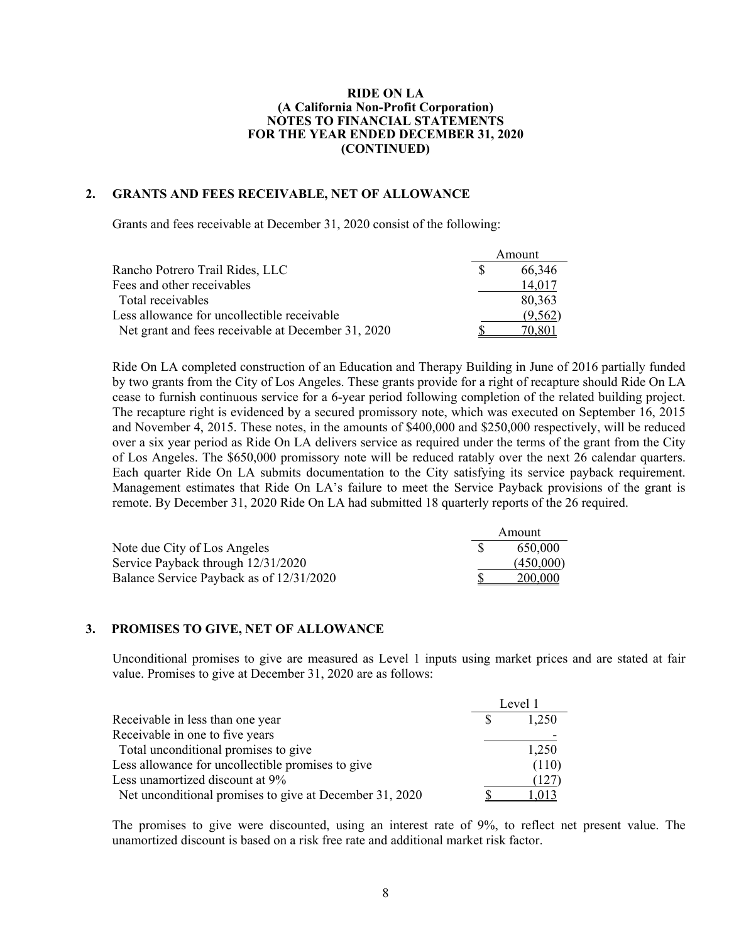#### **2. GRANTS AND FEES RECEIVABLE, NET OF ALLOWANCE**

Grants and fees receivable at December 31, 2020 consist of the following:

|                                                    | Amount   |
|----------------------------------------------------|----------|
| Rancho Potrero Trail Rides, LLC                    | 66,346   |
| Fees and other receivables                         | 14,017   |
| Total receivables                                  | 80,363   |
| Less allowance for uncollectible receivable        | (9, 562) |
| Net grant and fees receivable at December 31, 2020 | 70.801   |

Ride On LA completed construction of an Education and Therapy Building in June of 2016 partially funded by two grants from the City of Los Angeles. These grants provide for a right of recapture should Ride On LA cease to furnish continuous service for a 6-year period following completion of the related building project. The recapture right is evidenced by a secured promissory note, which was executed on September 16, 2015 and November 4, 2015. These notes, in the amounts of \$400,000 and \$250,000 respectively, will be reduced over a six year period as Ride On LA delivers service as required under the terms of the grant from the City of Los Angeles. The \$650,000 promissory note will be reduced ratably over the next 26 calendar quarters. Each quarter Ride On LA submits documentation to the City satisfying its service payback requirement. Management estimates that Ride On LA's failure to meet the Service Payback provisions of the grant is remote. By December 31, 2020 Ride On LA had submitted 18 quarterly reports of the 26 required.

|                                          | Amount    |
|------------------------------------------|-----------|
| Note due City of Los Angeles             | 650,000   |
| Service Payback through 12/31/2020       | (450,000) |
| Balance Service Payback as of 12/31/2020 | 200,000   |

#### **3. PROMISES TO GIVE, NET OF ALLOWANCE**

Unconditional promises to give are measured as Level 1 inputs using market prices and are stated at fair value. Promises to give at December 31, 2020 are as follows:

|                                                         | Level 1 |
|---------------------------------------------------------|---------|
| Receivable in less than one year                        | 1.250   |
| Receivable in one to five years                         |         |
| Total unconditional promises to give                    | 1,250   |
| Less allowance for uncollectible promises to give       | (110)   |
| Less unamortized discount at 9%                         | (127    |
| Net unconditional promises to give at December 31, 2020 | 1.013   |

The promises to give were discounted, using an interest rate of 9%, to reflect net present value. The unamortized discount is based on a risk free rate and additional market risk factor.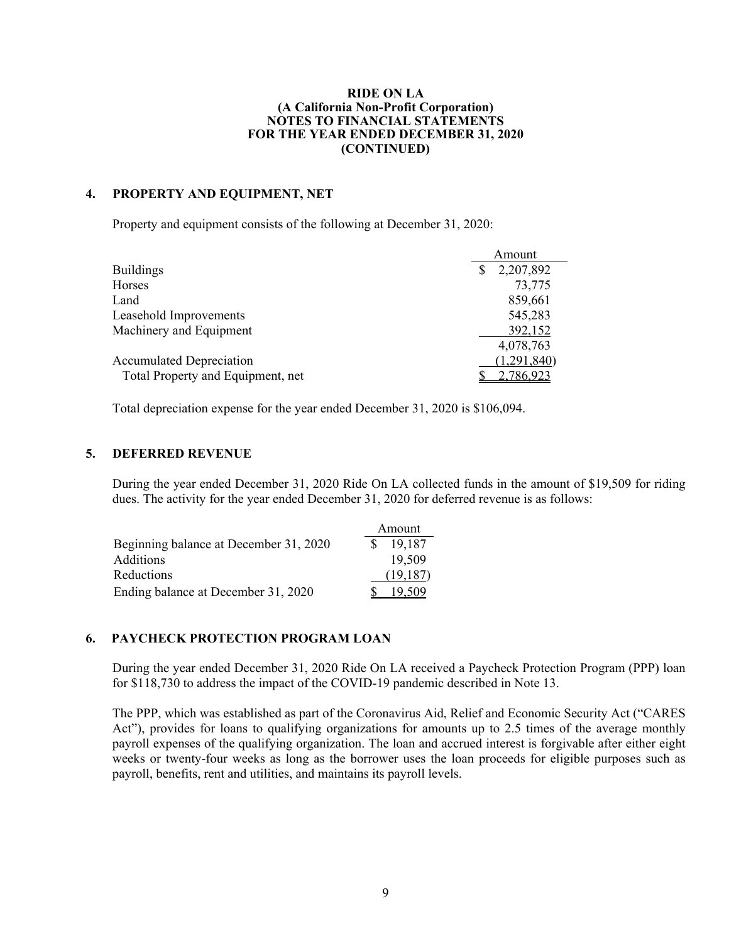## **4. PROPERTY AND EQUIPMENT, NET**

Property and equipment consists of the following at December 31, 2020:

|                                   | Amount      |
|-----------------------------------|-------------|
| <b>Buildings</b>                  | 2,207,892   |
| Horses                            | 73,775      |
| Land                              | 859,661     |
| Leasehold Improvements            | 545,283     |
| Machinery and Equipment           | 392,152     |
|                                   | 4,078,763   |
| <b>Accumulated Depreciation</b>   | (1,291,840) |
| Total Property and Equipment, net | 2,786,923   |

Total depreciation expense for the year ended December 31, 2020 is \$106,094.

#### **5. DEFERRED REVENUE**

During the year ended December 31, 2020 Ride On LA collected funds in the amount of \$19,509 for riding dues. The activity for the year ended December 31, 2020 for deferred revenue is as follows:

|                                        |              | Amount    |
|----------------------------------------|--------------|-----------|
| Beginning balance at December 31, 2020 | <sup>S</sup> | 19,187    |
| <b>Additions</b>                       |              | 19,509    |
| Reductions                             |              | (19, 187) |
| Ending balance at December 31, 2020    |              | 19.509    |

## **6. PAYCHECK PROTECTION PROGRAM LOAN**

During the year ended December 31, 2020 Ride On LA received a Paycheck Protection Program (PPP) loan for \$118,730 to address the impact of the COVID-19 pandemic described in Note 13.

The PPP, which was established as part of the Coronavirus Aid, Relief and Economic Security Act ("CARES Act"), provides for loans to qualifying organizations for amounts up to 2.5 times of the average monthly payroll expenses of the qualifying organization. The loan and accrued interest is forgivable after either eight weeks or twenty-four weeks as long as the borrower uses the loan proceeds for eligible purposes such as payroll, benefits, rent and utilities, and maintains its payroll levels.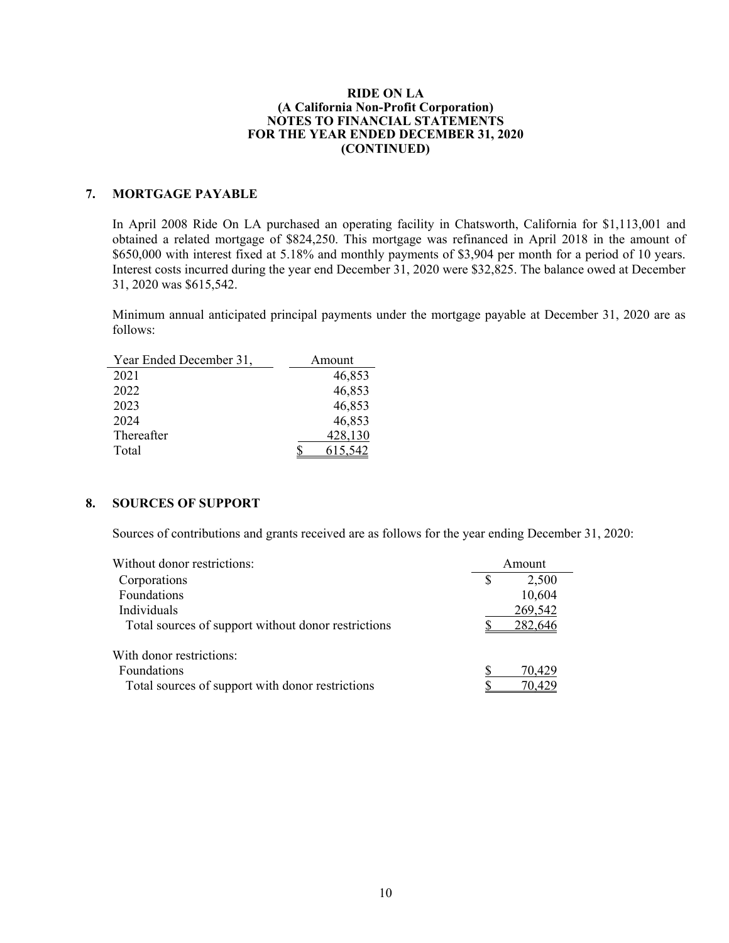## **7. MORTGAGE PAYABLE**

In April 2008 Ride On LA purchased an operating facility in Chatsworth, California for \$1,113,001 and obtained a related mortgage of \$824,250. This mortgage was refinanced in April 2018 in the amount of \$650,000 with interest fixed at 5.18% and monthly payments of \$3,904 per month for a period of 10 years. Interest costs incurred during the year end December 31, 2020 were \$32,825. The balance owed at December 31, 2020 was \$615,542.

Minimum annual anticipated principal payments under the mortgage payable at December 31, 2020 are as follows:

| Year Ended December 31, | Amount  |
|-------------------------|---------|
| 2021                    | 46,853  |
| 2022                    | 46,853  |
| 2023                    | 46,853  |
| 2024                    | 46,853  |
| Thereafter              | 428,130 |
| Total                   | 615,542 |

## **8. SOURCES OF SUPPORT**

Sources of contributions and grants received are as follows for the year ending December 31, 2020:

| Without donor restrictions:                         | Amount      |
|-----------------------------------------------------|-------------|
| Corporations                                        | \$<br>2,500 |
| Foundations                                         | 10,604      |
| Individuals                                         | 269,542     |
| Total sources of support without donor restrictions | 282,646     |
| With donor restrictions:                            |             |
| Foundations                                         | 70,429      |
| Total sources of support with donor restrictions    |             |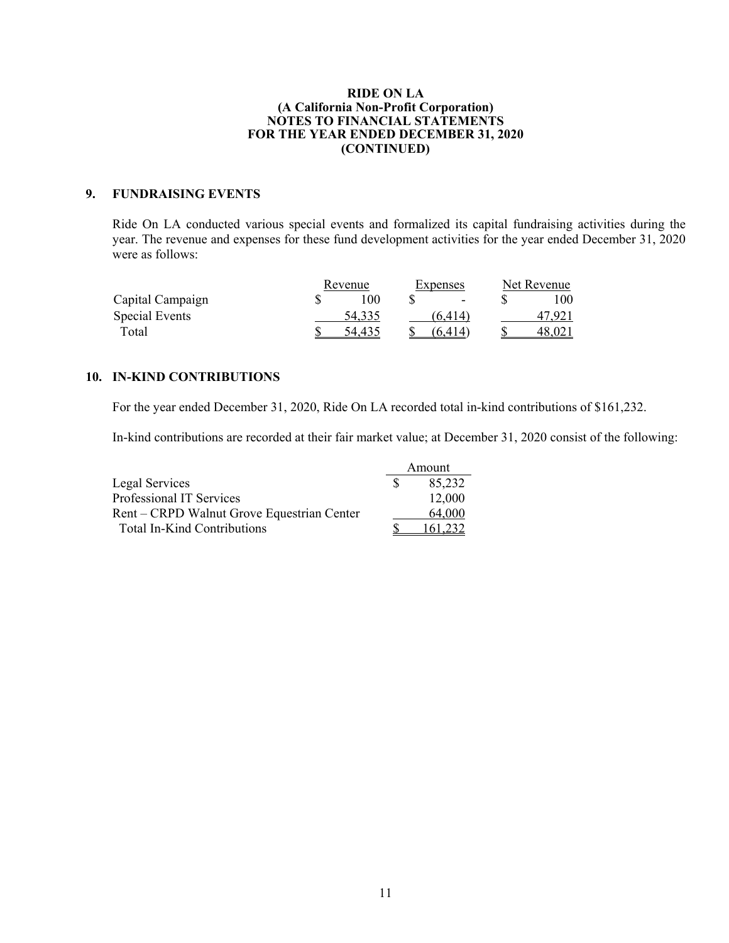#### **9. FUNDRAISING EVENTS**

Ride On LA conducted various special events and formalized its capital fundraising activities during the year. The revenue and expenses for these fund development activities for the year ended December 31, 2020 were as follows:

|                  | Revenue | Expenses                 | Net Revenue |
|------------------|---------|--------------------------|-------------|
| Capital Campaign | 00      | $\overline{\phantom{0}}$ | 100         |
| Special Events   | 54.335  | (6.414)                  | 47.921      |
| Total            | 54 435  |                          |             |

## **10. IN-KIND CONTRIBUTIONS**

For the year ended December 31, 2020, Ride On LA recorded total in-kind contributions of \$161,232.

In-kind contributions are recorded at their fair market value; at December 31, 2020 consist of the following:

|                                            | Amount |          |
|--------------------------------------------|--------|----------|
| Legal Services                             |        | 85,232   |
| Professional IT Services                   |        | 12,000   |
| Rent – CRPD Walnut Grove Equestrian Center |        | 64,000   |
| Total In-Kind Contributions                |        | 161.232. |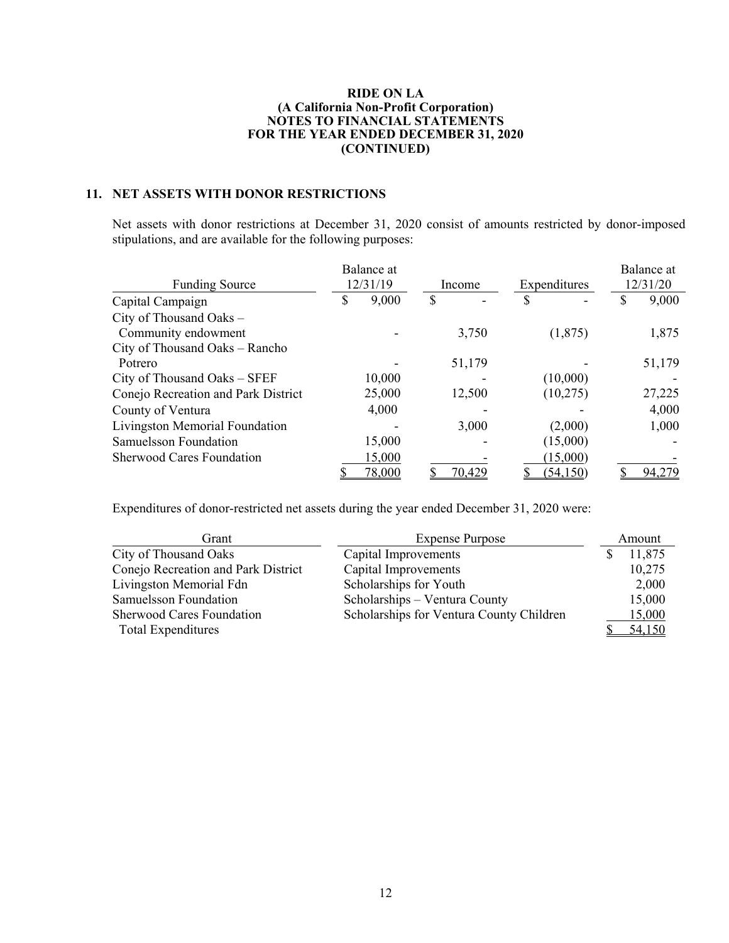## **11. NET ASSETS WITH DONOR RESTRICTIONS**

Net assets with donor restrictions at December 31, 2020 consist of amounts restricted by donor-imposed stipulations, and are available for the following purposes:

|                                     | Balance at  |   |        |   |              |   | Balance at |
|-------------------------------------|-------------|---|--------|---|--------------|---|------------|
| <b>Funding Source</b>               | 12/31/19    |   | Income |   | Expenditures |   | 12/31/20   |
| Capital Campaign                    | \$<br>9,000 | S |        | S |              | S | 9,000      |
| City of Thousand Oaks -             |             |   |        |   |              |   |            |
| Community endowment                 |             |   | 3,750  |   | (1,875)      |   | 1,875      |
| City of Thousand Oaks - Rancho      |             |   |        |   |              |   |            |
| Potrero                             |             |   | 51,179 |   |              |   | 51,179     |
| City of Thousand Oaks – SFEF        | 10,000      |   |        |   | (10,000)     |   |            |
| Conejo Recreation and Park District | 25,000      |   | 12,500 |   | (10,275)     |   | 27,225     |
| County of Ventura                   | 4,000       |   |        |   |              |   | 4,000      |
| Livingston Memorial Foundation      |             |   | 3,000  |   | (2,000)      |   | 1,000      |
| Samuelsson Foundation               | 15,000      |   |        |   | (15,000)     |   |            |
| <b>Sherwood Cares Foundation</b>    | 15,000      |   |        |   | (15,000)     |   |            |
|                                     | 78,000      |   | 70,429 |   | (54, 150)    |   | 94,279     |

Expenditures of donor-restricted net assets during the year ended December 31, 2020 were:

| Grant                               | <b>Expense Purpose</b>                   | Amount |
|-------------------------------------|------------------------------------------|--------|
| City of Thousand Oaks               | Capital Improvements                     | 11,875 |
| Conejo Recreation and Park District | Capital Improvements                     | 10,275 |
| Livingston Memorial Fdn             | Scholarships for Youth                   | 2,000  |
| Samuelsson Foundation               | Scholarships - Ventura County            | 15,000 |
| <b>Sherwood Cares Foundation</b>    | Scholarships for Ventura County Children | 15,000 |
| <b>Total Expenditures</b>           |                                          | 54,150 |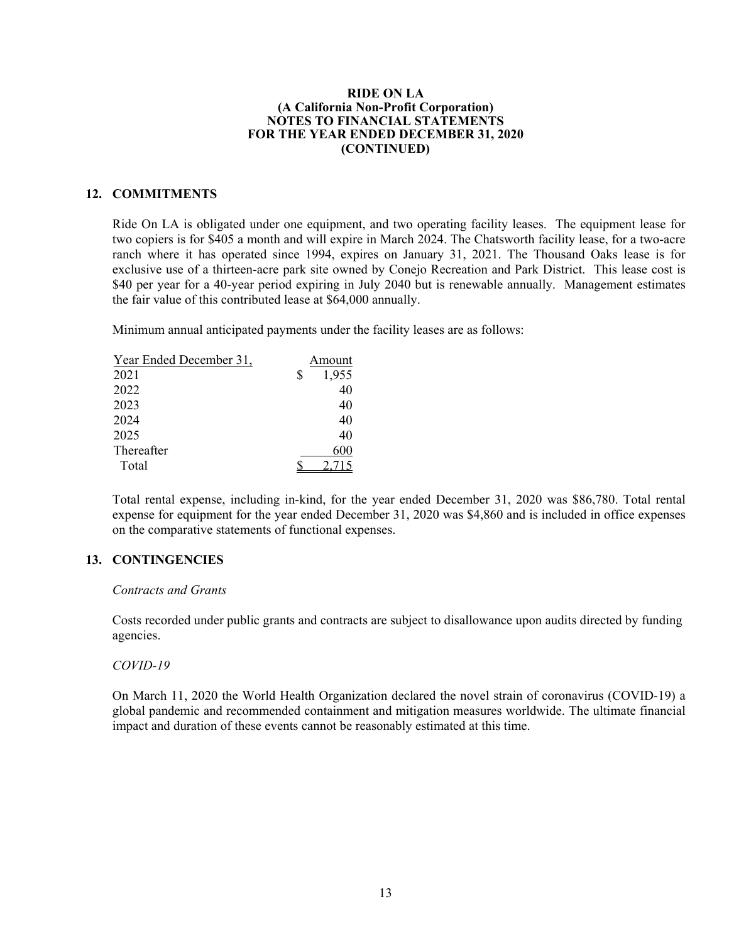## **12. COMMITMENTS**

Ride On LA is obligated under one equipment, and two operating facility leases. The equipment lease for two copiers is for \$405 a month and will expire in March 2024. The Chatsworth facility lease, for a two-acre ranch where it has operated since 1994, expires on January 31, 2021. The Thousand Oaks lease is for exclusive use of a thirteen-acre park site owned by Conejo Recreation and Park District. This lease cost is \$40 per year for a 40-year period expiring in July 2040 but is renewable annually. Management estimates the fair value of this contributed lease at \$64,000 annually.

Minimum annual anticipated payments under the facility leases are as follows:

| Year Ended December 31, | Amount |
|-------------------------|--------|
| 2021                    | 1,955  |
| 2022                    | 40     |
| 2023                    | 40     |
| 2024                    | 40     |
| 2025                    | 40     |
| Thereafter              | 600    |
| Total                   |        |

Total rental expense, including in-kind, for the year ended December 31, 2020 was \$86,780. Total rental expense for equipment for the year ended December 31, 2020 was \$4,860 and is included in office expenses on the comparative statements of functional expenses.

## **13. CONTINGENCIES**

## *Contracts and Grants*

Costs recorded under public grants and contracts are subject to disallowance upon audits directed by funding agencies.

## *COVID-19*

On March 11, 2020 the World Health Organization declared the novel strain of coronavirus (COVID-19) a global pandemic and recommended containment and mitigation measures worldwide. The ultimate financial impact and duration of these events cannot be reasonably estimated at this time.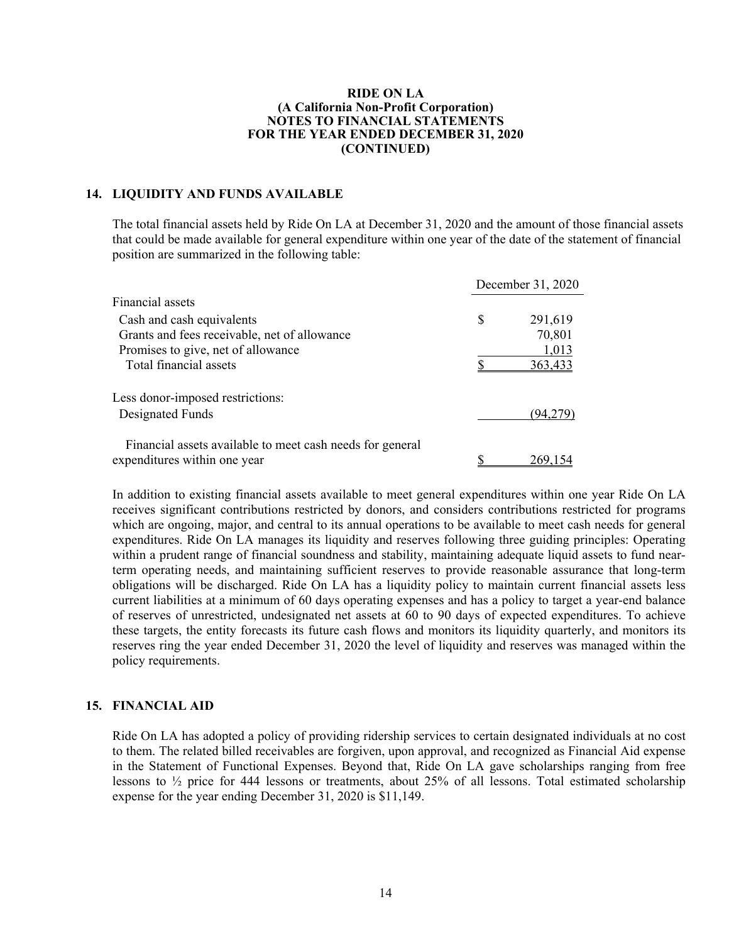#### **14. LIQUIDITY AND FUNDS AVAILABLE**

The total financial assets held by Ride On LA at December 31, 2020 and the amount of those financial assets that could be made available for general expenditure within one year of the date of the statement of financial position are summarized in the following table:

|                                                           | December 31, 2020 |         |  |
|-----------------------------------------------------------|-------------------|---------|--|
| Financial assets                                          |                   |         |  |
| Cash and cash equivalents                                 | \$                | 291,619 |  |
| Grants and fees receivable, net of allowance              |                   | 70,801  |  |
| Promises to give, net of allowance                        |                   | 1,013   |  |
| Total financial assets                                    |                   | 363,433 |  |
| Less donor-imposed restrictions:                          |                   |         |  |
| Designated Funds                                          |                   | (94.27  |  |
| Financial assets available to meet cash needs for general |                   |         |  |
| expenditures within one year                              |                   |         |  |

In addition to existing financial assets available to meet general expenditures within one year Ride On LA receives significant contributions restricted by donors, and considers contributions restricted for programs which are ongoing, major, and central to its annual operations to be available to meet cash needs for general expenditures. Ride On LA manages its liquidity and reserves following three guiding principles: Operating within a prudent range of financial soundness and stability, maintaining adequate liquid assets to fund nearterm operating needs, and maintaining sufficient reserves to provide reasonable assurance that long-term obligations will be discharged. Ride On LA has a liquidity policy to maintain current financial assets less current liabilities at a minimum of 60 days operating expenses and has a policy to target a year-end balance of reserves of unrestricted, undesignated net assets at 60 to 90 days of expected expenditures. To achieve these targets, the entity forecasts its future cash flows and monitors its liquidity quarterly, and monitors its reserves ring the year ended December 31, 2020 the level of liquidity and reserves was managed within the policy requirements.

#### **15. FINANCIAL AID**

Ride On LA has adopted a policy of providing ridership services to certain designated individuals at no cost to them. The related billed receivables are forgiven, upon approval, and recognized as Financial Aid expense in the Statement of Functional Expenses. Beyond that, Ride On LA gave scholarships ranging from free lessons to ½ price for 444 lessons or treatments, about 25% of all lessons. Total estimated scholarship expense for the year ending December 31, 2020 is \$11,149.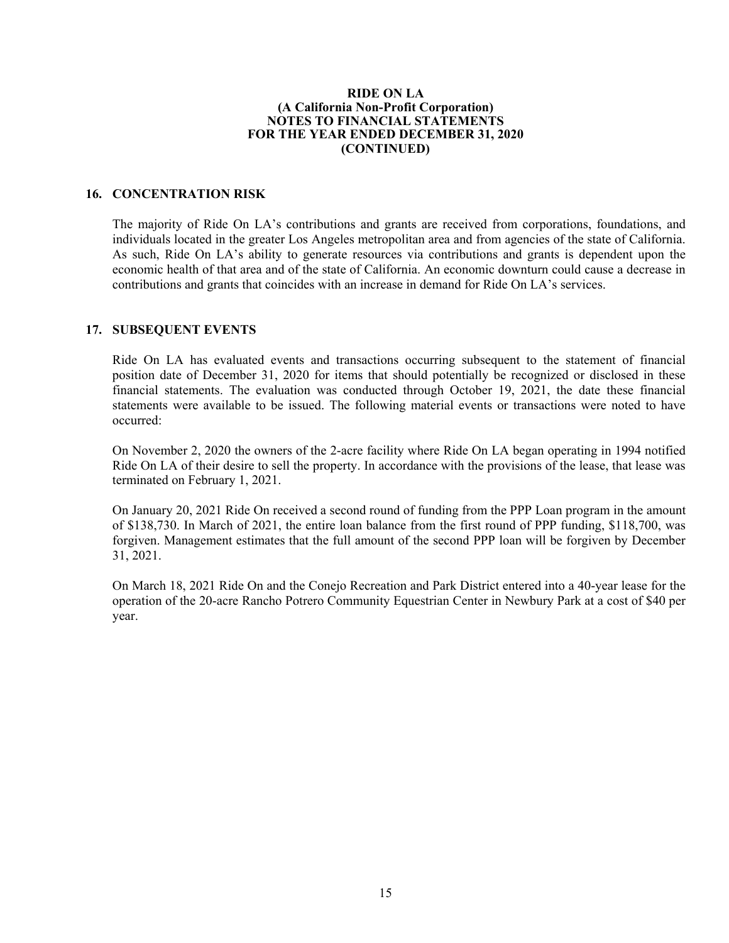#### **16. CONCENTRATION RISK**

The majority of Ride On LA's contributions and grants are received from corporations, foundations, and individuals located in the greater Los Angeles metropolitan area and from agencies of the state of California. As such, Ride On LA's ability to generate resources via contributions and grants is dependent upon the economic health of that area and of the state of California. An economic downturn could cause a decrease in contributions and grants that coincides with an increase in demand for Ride On LA's services.

#### **17. SUBSEQUENT EVENTS**

Ride On LA has evaluated events and transactions occurring subsequent to the statement of financial position date of December 31, 2020 for items that should potentially be recognized or disclosed in these financial statements. The evaluation was conducted through October 19, 2021, the date these financial statements were available to be issued. The following material events or transactions were noted to have occurred:

On November 2, 2020 the owners of the 2-acre facility where Ride On LA began operating in 1994 notified Ride On LA of their desire to sell the property. In accordance with the provisions of the lease, that lease was terminated on February 1, 2021.

On January 20, 2021 Ride On received a second round of funding from the PPP Loan program in the amount of \$138,730. In March of 2021, the entire loan balance from the first round of PPP funding, \$118,700, was forgiven. Management estimates that the full amount of the second PPP loan will be forgiven by December 31, 2021.

On March 18, 2021 Ride On and the Conejo Recreation and Park District entered into a 40-year lease for the operation of the 20-acre Rancho Potrero Community Equestrian Center in Newbury Park at a cost of \$40 per year.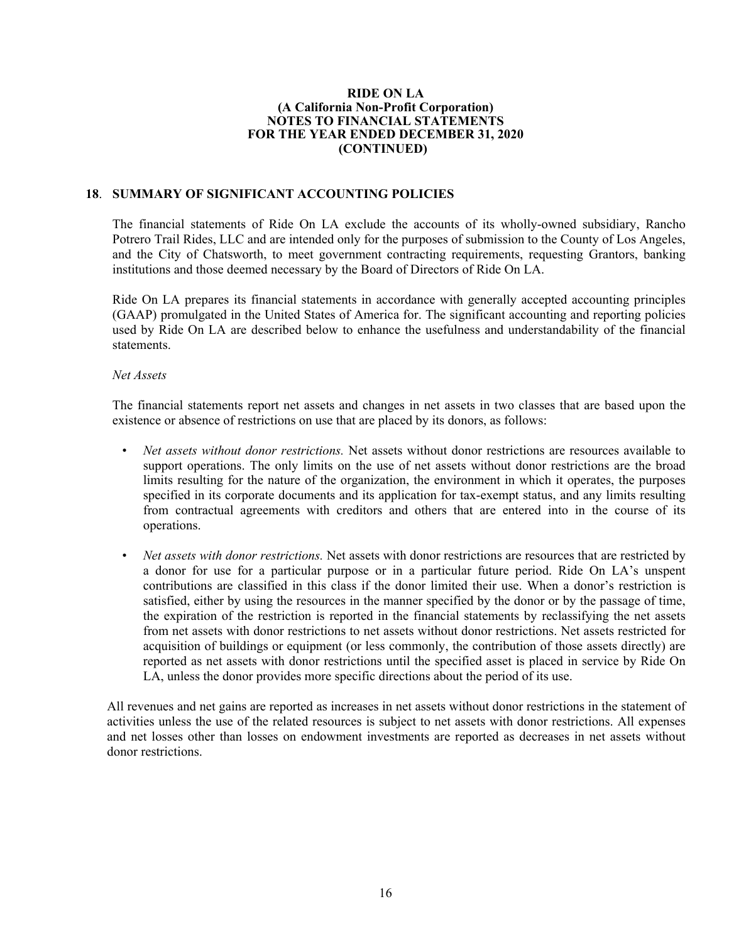#### **18**. **SUMMARY OF SIGNIFICANT ACCOUNTING POLICIES**

The financial statements of Ride On LA exclude the accounts of its wholly-owned subsidiary, Rancho Potrero Trail Rides, LLC and are intended only for the purposes of submission to the County of Los Angeles, and the City of Chatsworth, to meet government contracting requirements, requesting Grantors, banking institutions and those deemed necessary by the Board of Directors of Ride On LA.

Ride On LA prepares its financial statements in accordance with generally accepted accounting principles (GAAP) promulgated in the United States of America for. The significant accounting and reporting policies used by Ride On LA are described below to enhance the usefulness and understandability of the financial statements.

#### *Net Assets*

The financial statements report net assets and changes in net assets in two classes that are based upon the existence or absence of restrictions on use that are placed by its donors, as follows:

- *• Net assets without donor restrictions.* Net assets without donor restrictions are resources available to support operations. The only limits on the use of net assets without donor restrictions are the broad limits resulting for the nature of the organization, the environment in which it operates, the purposes specified in its corporate documents and its application for tax-exempt status, and any limits resulting from contractual agreements with creditors and others that are entered into in the course of its operations.
- *Net assets with donor restrictions*. Net assets with donor restrictions are resources that are restricted by a donor for use for a particular purpose or in a particular future period. Ride On LA's unspent contributions are classified in this class if the donor limited their use. When a donor's restriction is satisfied, either by using the resources in the manner specified by the donor or by the passage of time, the expiration of the restriction is reported in the financial statements by reclassifying the net assets from net assets with donor restrictions to net assets without donor restrictions. Net assets restricted for acquisition of buildings or equipment (or less commonly, the contribution of those assets directly) are reported as net assets with donor restrictions until the specified asset is placed in service by Ride On LA, unless the donor provides more specific directions about the period of its use.

All revenues and net gains are reported as increases in net assets without donor restrictions in the statement of activities unless the use of the related resources is subject to net assets with donor restrictions. All expenses and net losses other than losses on endowment investments are reported as decreases in net assets without donor restrictions.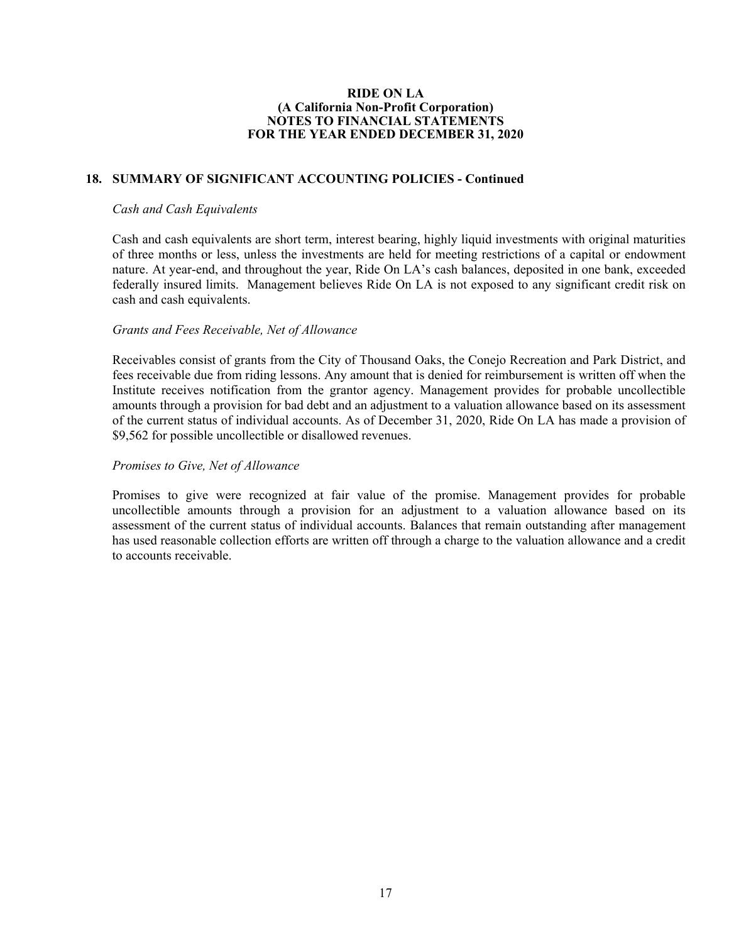## **18. SUMMARY OF SIGNIFICANT ACCOUNTING POLICIES - Continued**

## *Cash and Cash Equivalents*

Cash and cash equivalents are short term, interest bearing, highly liquid investments with original maturities of three months or less, unless the investments are held for meeting restrictions of a capital or endowment nature. At year-end, and throughout the year, Ride On LA's cash balances, deposited in one bank, exceeded federally insured limits. Management believes Ride On LA is not exposed to any significant credit risk on cash and cash equivalents.

#### *Grants and Fees Receivable, Net of Allowance*

Receivables consist of grants from the City of Thousand Oaks, the Conejo Recreation and Park District, and fees receivable due from riding lessons. Any amount that is denied for reimbursement is written off when the Institute receives notification from the grantor agency. Management provides for probable uncollectible amounts through a provision for bad debt and an adjustment to a valuation allowance based on its assessment of the current status of individual accounts. As of December 31, 2020, Ride On LA has made a provision of \$9,562 for possible uncollectible or disallowed revenues.

#### *Promises to Give, Net of Allowance*

Promises to give were recognized at fair value of the promise. Management provides for probable uncollectible amounts through a provision for an adjustment to a valuation allowance based on its assessment of the current status of individual accounts. Balances that remain outstanding after management has used reasonable collection efforts are written off through a charge to the valuation allowance and a credit to accounts receivable.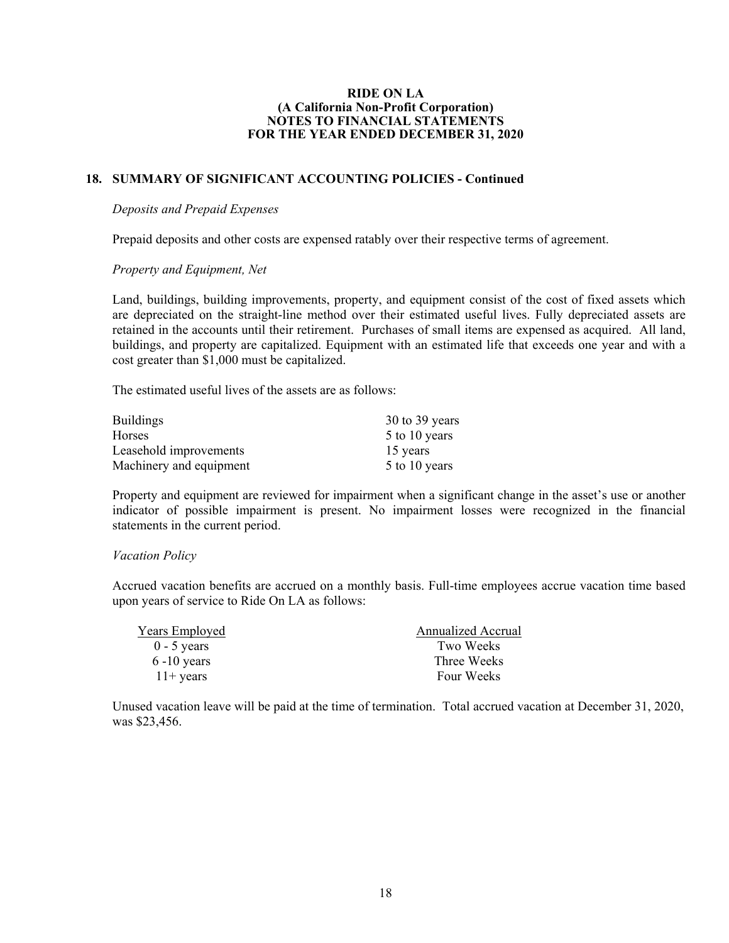## **18. SUMMARY OF SIGNIFICANT ACCOUNTING POLICIES - Continued**

## *Deposits and Prepaid Expenses*

Prepaid deposits and other costs are expensed ratably over their respective terms of agreement.

#### *Property and Equipment, Net*

Land, buildings, building improvements, property, and equipment consist of the cost of fixed assets which are depreciated on the straight-line method over their estimated useful lives. Fully depreciated assets are retained in the accounts until their retirement. Purchases of small items are expensed as acquired. All land, buildings, and property are capitalized. Equipment with an estimated life that exceeds one year and with a cost greater than \$1,000 must be capitalized.

The estimated useful lives of the assets are as follows:

| <b>Buildings</b>        | 30 to 39 years |
|-------------------------|----------------|
| <b>Horses</b>           | 5 to 10 years  |
| Leasehold improvements  | 15 years       |
| Machinery and equipment | 5 to 10 years  |

Property and equipment are reviewed for impairment when a significant change in the asset's use or another indicator of possible impairment is present. No impairment losses were recognized in the financial statements in the current period.

## *Vacation Policy*

Accrued vacation benefits are accrued on a monthly basis. Full-time employees accrue vacation time based upon years of service to Ride On LA as follows:

| Years Employed | Annualized Accrual |
|----------------|--------------------|
| $0 - 5$ years  | Two Weeks          |
| $6 - 10$ years | Three Weeks        |
| $11+$ years    | Four Weeks         |

Unused vacation leave will be paid at the time of termination. Total accrued vacation at December 31, 2020, was \$23,456.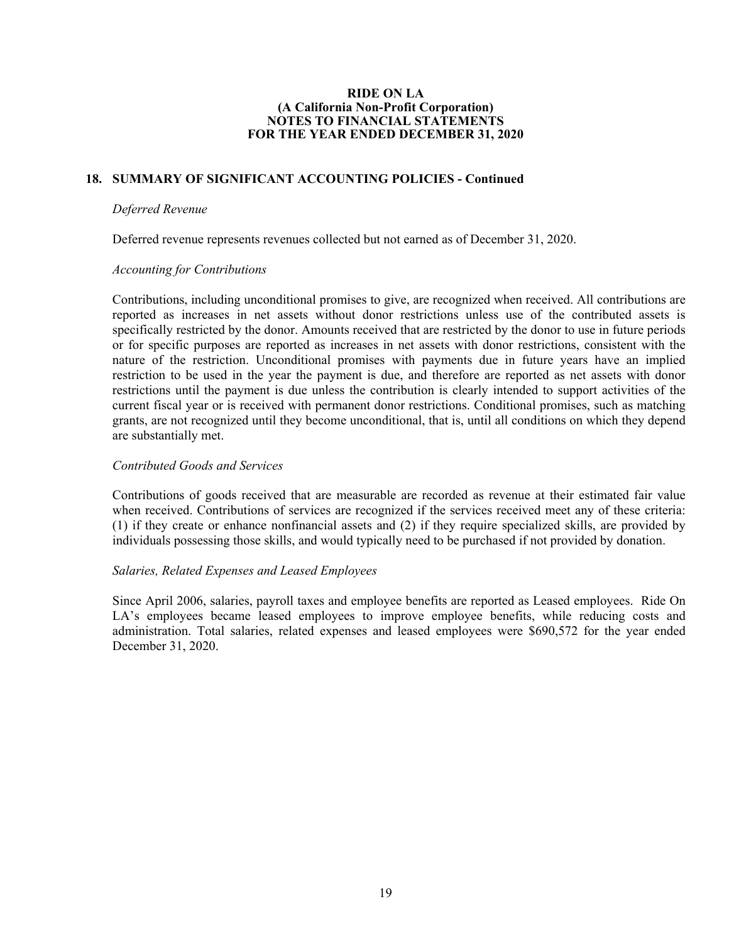## **18. SUMMARY OF SIGNIFICANT ACCOUNTING POLICIES - Continued**

#### *Deferred Revenue*

Deferred revenue represents revenues collected but not earned as of December 31, 2020.

#### *Accounting for Contributions*

Contributions, including unconditional promises to give, are recognized when received. All contributions are reported as increases in net assets without donor restrictions unless use of the contributed assets is specifically restricted by the donor. Amounts received that are restricted by the donor to use in future periods or for specific purposes are reported as increases in net assets with donor restrictions, consistent with the nature of the restriction. Unconditional promises with payments due in future years have an implied restriction to be used in the year the payment is due, and therefore are reported as net assets with donor restrictions until the payment is due unless the contribution is clearly intended to support activities of the current fiscal year or is received with permanent donor restrictions. Conditional promises, such as matching grants, are not recognized until they become unconditional, that is, until all conditions on which they depend are substantially met.

#### *Contributed Goods and Services*

Contributions of goods received that are measurable are recorded as revenue at their estimated fair value when received. Contributions of services are recognized if the services received meet any of these criteria: (1) if they create or enhance nonfinancial assets and (2) if they require specialized skills, are provided by individuals possessing those skills, and would typically need to be purchased if not provided by donation.

#### *Salaries, Related Expenses and Leased Employees*

Since April 2006, salaries, payroll taxes and employee benefits are reported as Leased employees. Ride On LA's employees became leased employees to improve employee benefits, while reducing costs and administration. Total salaries, related expenses and leased employees were \$690,572 for the year ended December 31, 2020.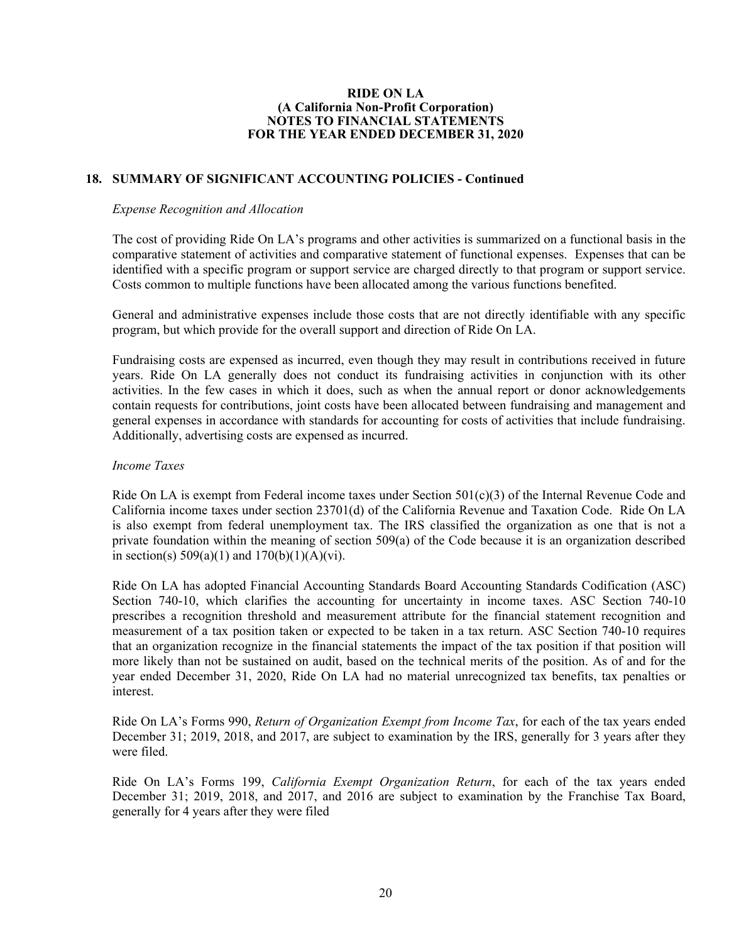## **18. SUMMARY OF SIGNIFICANT ACCOUNTING POLICIES - Continued**

#### *Expense Recognition and Allocation*

The cost of providing Ride On LA's programs and other activities is summarized on a functional basis in the comparative statement of activities and comparative statement of functional expenses. Expenses that can be identified with a specific program or support service are charged directly to that program or support service. Costs common to multiple functions have been allocated among the various functions benefited.

General and administrative expenses include those costs that are not directly identifiable with any specific program, but which provide for the overall support and direction of Ride On LA.

Fundraising costs are expensed as incurred, even though they may result in contributions received in future years. Ride On LA generally does not conduct its fundraising activities in conjunction with its other activities. In the few cases in which it does, such as when the annual report or donor acknowledgements contain requests for contributions, joint costs have been allocated between fundraising and management and general expenses in accordance with standards for accounting for costs of activities that include fundraising. Additionally, advertising costs are expensed as incurred.

#### *Income Taxes*

Ride On LA is exempt from Federal income taxes under Section  $501(c)(3)$  of the Internal Revenue Code and California income taxes under section 23701(d) of the California Revenue and Taxation Code. Ride On LA is also exempt from federal unemployment tax. The IRS classified the organization as one that is not a private foundation within the meaning of section 509(a) of the Code because it is an organization described in section(s)  $509(a)(1)$  and  $170(b)(1)(A)(vi)$ .

Ride On LA has adopted Financial Accounting Standards Board Accounting Standards Codification (ASC) Section 740-10, which clarifies the accounting for uncertainty in income taxes. ASC Section 740-10 prescribes a recognition threshold and measurement attribute for the financial statement recognition and measurement of a tax position taken or expected to be taken in a tax return. ASC Section 740-10 requires that an organization recognize in the financial statements the impact of the tax position if that position will more likely than not be sustained on audit, based on the technical merits of the position. As of and for the year ended December 31, 2020, Ride On LA had no material unrecognized tax benefits, tax penalties or interest.

Ride On LA's Forms 990, *Return of Organization Exempt from Income Tax*, for each of the tax years ended December 31; 2019, 2018, and 2017, are subject to examination by the IRS, generally for 3 years after they were filed.

Ride On LA's Forms 199, *California Exempt Organization Return*, for each of the tax years ended December 31; 2019, 2018, and 2017, and 2016 are subject to examination by the Franchise Tax Board, generally for 4 years after they were filed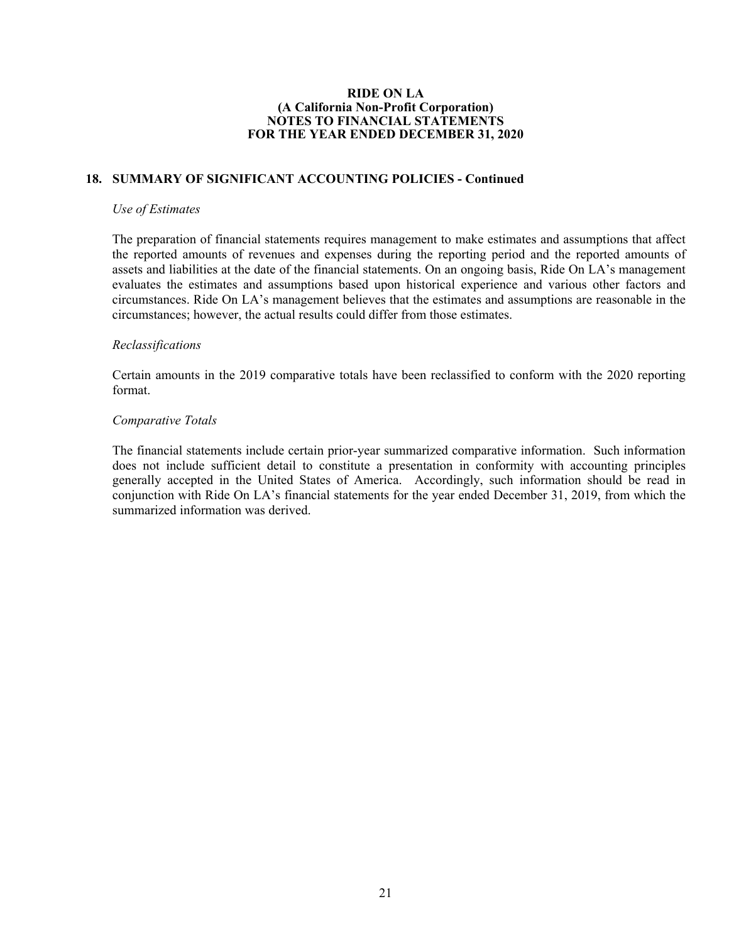## **18. SUMMARY OF SIGNIFICANT ACCOUNTING POLICIES - Continued**

#### *Use of Estimates*

The preparation of financial statements requires management to make estimates and assumptions that affect the reported amounts of revenues and expenses during the reporting period and the reported amounts of assets and liabilities at the date of the financial statements. On an ongoing basis, Ride On LA's management evaluates the estimates and assumptions based upon historical experience and various other factors and circumstances. Ride On LA's management believes that the estimates and assumptions are reasonable in the circumstances; however, the actual results could differ from those estimates.

#### *Reclassifications*

Certain amounts in the 2019 comparative totals have been reclassified to conform with the 2020 reporting format.

#### *Comparative Totals*

The financial statements include certain prior-year summarized comparative information. Such information does not include sufficient detail to constitute a presentation in conformity with accounting principles generally accepted in the United States of America. Accordingly, such information should be read in conjunction with Ride On LA's financial statements for the year ended December 31, 2019, from which the summarized information was derived.